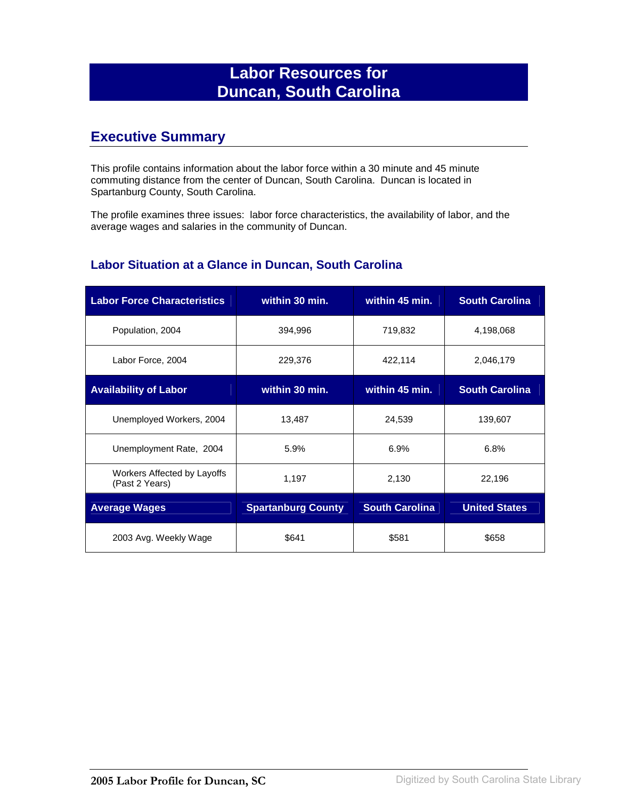## **Labor Resources for Duncan, South Carolina**

## **Executive Summary**

This profile contains information about the labor force within a 30 minute and 45 minute commuting distance from the center of Duncan, South Carolina. Duncan is located in Spartanburg County, South Carolina.

The profile examines three issues: labor force characteristics, the availability of labor, and the average wages and salaries in the community of Duncan.

#### **Labor Situation at a Glance in Duncan, South Carolina**

| <b>Labor Force Characteristics</b>            | within 30 min.            | within 45 min.        | <b>South Carolina</b> |
|-----------------------------------------------|---------------------------|-----------------------|-----------------------|
| Population, 2004                              | 394,996                   | 719,832               | 4,198,068             |
| Labor Force, 2004                             | 229,376                   | 422,114               | 2,046,179             |
| <b>Availability of Labor</b>                  | within 30 min.            | within 45 min.        | <b>South Carolina</b> |
| Unemployed Workers, 2004                      | 13,487                    | 24,539                | 139,607               |
| Unemployment Rate, 2004                       | 5.9%                      | 6.9%                  | 6.8%                  |
| Workers Affected by Layoffs<br>(Past 2 Years) | 1,197                     | 2,130                 | 22,196                |
| <b>Average Wages</b>                          | <b>Spartanburg County</b> | <b>South Carolina</b> | <b>United States</b>  |
| 2003 Avg. Weekly Wage                         | \$641                     | \$581                 | \$658                 |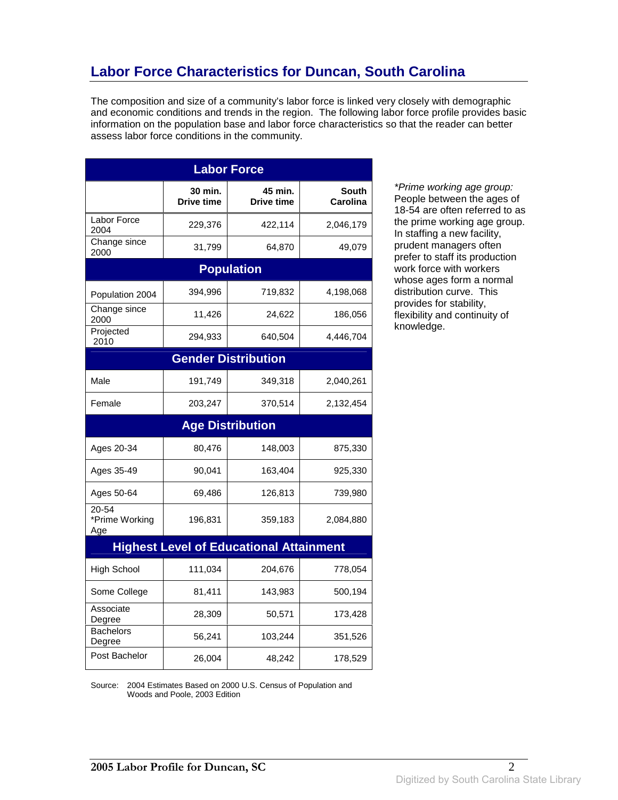# **Labor Force Characteristics for Duncan, South Carolina**

The composition and size of a community's labor force is linked very closely with demographic and economic conditions and trends in the region. The following labor force profile provides basic information on the population base and labor force characteristics so that the reader can better assess labor force conditions in the community.

| <b>Labor Force</b>             |                              |                                                |                          |
|--------------------------------|------------------------------|------------------------------------------------|--------------------------|
|                                | 30 min.<br><b>Drive time</b> | 45 min.<br>Drive time                          | <b>South</b><br>Carolina |
| Labor Force<br>2004            | 229,376                      | 422,114                                        | 2,046,179                |
| Change since<br>2000           | 31,799                       | 64,870                                         | 49,079                   |
|                                |                              | <b>Population</b>                              |                          |
| Population 2004                | 394,996                      | 719,832                                        | 4,198,068                |
| Change since<br>2000           | 11,426                       | 24,622                                         | 186,056                  |
| Projected<br>2010              | 294,933                      | 640,504                                        | 4,446,704                |
|                                |                              | <b>Gender Distribution</b>                     |                          |
| Male                           | 191,749                      | 349,318                                        | 2,040,261                |
| Female                         | 203,247                      | 370,514                                        | 2,132,454                |
|                                |                              | <b>Age Distribution</b>                        |                          |
| Ages 20-34                     | 80,476                       | 148,003                                        | 875,330                  |
| Ages 35-49                     | 90,041                       | 163,404                                        | 925,330                  |
| Ages 50-64                     | 69,486                       | 126,813                                        | 739,980                  |
| 20-54<br>*Prime Working<br>Age | 196,831                      | 359,183                                        | 2,084,880                |
|                                |                              | <b>Highest Level of Educational Attainment</b> |                          |
| <b>High School</b>             | 111,034                      | 204,676                                        | 778,054                  |
| Some College                   | 81,411                       | 143,983                                        | 500,194                  |
| Associate<br>Degree            | 28,309                       | 50,571                                         | 173,428                  |
| <b>Bachelors</b><br>Degree     | 56,241                       | 103,244                                        | 351,526                  |
| Post Bachelor                  | 26,004                       | 48,242                                         | 178,529                  |

\*Prime working age group: People between the ages of 18-54 are often referred to as the prime working age group. In staffing a new facility, prudent managers often prefer to staff its production work force with workers whose ages form a normal distribution curve. This provides for stability, flexibility and continuity of knowledge.

Source: 2004 Estimates Based on 2000 U.S. Census of Population and Woods and Poole, 2003 Edition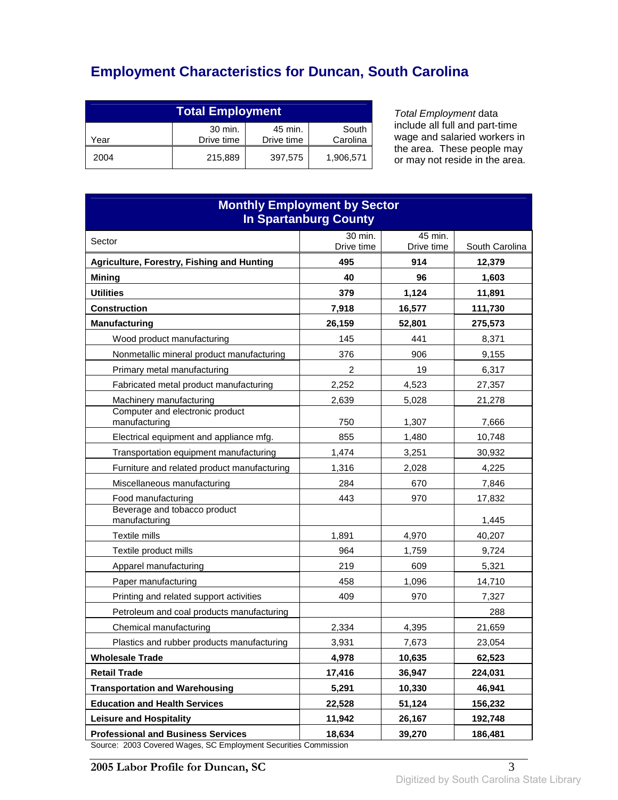# **Employment Characteristics for Duncan, South Carolina**

| <b>Total Employment</b>                                                     |         |         |           |
|-----------------------------------------------------------------------------|---------|---------|-----------|
| 30 min.<br>45 min.<br>South<br>Drive time<br>Carolina<br>Drive time<br>Year |         |         |           |
| 2004                                                                        | 215,889 | 397,575 | 1,906,571 |

Total Employment data include all full and part-time wage and salaried workers in the area. These people may or may not reside in the area.

| <b>Monthly Employment by Sector</b><br><b>In Spartanburg County</b>                                          |                       |                       |                |
|--------------------------------------------------------------------------------------------------------------|-----------------------|-----------------------|----------------|
| Sector                                                                                                       | 30 min.<br>Drive time | 45 min.<br>Drive time | South Carolina |
| Agriculture, Forestry, Fishing and Hunting                                                                   | 495                   | 914                   | 12,379         |
| <b>Mining</b>                                                                                                | 40                    | 96                    | 1,603          |
| <b>Utilities</b>                                                                                             | 379                   | 1,124                 | 11,891         |
| <b>Construction</b>                                                                                          | 7,918                 | 16,577                | 111,730        |
| <b>Manufacturing</b>                                                                                         | 26,159                | 52,801                | 275,573        |
| Wood product manufacturing                                                                                   | 145                   | 441                   | 8,371          |
| Nonmetallic mineral product manufacturing                                                                    | 376                   | 906                   | 9,155          |
| Primary metal manufacturing                                                                                  | $\overline{2}$        | 19                    | 6,317          |
| Fabricated metal product manufacturing                                                                       | 2,252                 | 4,523                 | 27,357         |
| Machinery manufacturing                                                                                      | 2,639                 | 5,028                 | 21,278         |
| Computer and electronic product<br>manufacturing                                                             | 750                   | 1,307                 | 7,666          |
| Electrical equipment and appliance mfg.                                                                      | 855                   | 1,480                 | 10,748         |
| Transportation equipment manufacturing                                                                       | 1,474                 | 3,251                 | 30,932         |
| Furniture and related product manufacturing                                                                  | 1,316                 | 2,028                 | 4,225          |
| Miscellaneous manufacturing                                                                                  | 284                   | 670                   | 7,846          |
| Food manufacturing                                                                                           | 443                   | 970                   | 17,832         |
| Beverage and tobacco product<br>manufacturing                                                                |                       |                       | 1,445          |
| Textile mills                                                                                                | 1,891                 | 4,970                 | 40,207         |
| Textile product mills                                                                                        | 964                   | 1,759                 | 9,724          |
| Apparel manufacturing                                                                                        | 219                   | 609                   | 5,321          |
| Paper manufacturing                                                                                          | 458                   | 1,096                 | 14,710         |
| Printing and related support activities                                                                      | 409                   | 970                   | 7,327          |
| Petroleum and coal products manufacturing                                                                    |                       |                       | 288            |
| Chemical manufacturing                                                                                       | 2,334                 | 4,395                 | 21,659         |
| Plastics and rubber products manufacturing                                                                   | 3,931                 | 7,673                 | 23,054         |
| <b>Wholesale Trade</b>                                                                                       | 4,978                 | 10,635                | 62,523         |
| <b>Retail Trade</b>                                                                                          | 17,416                | 36.947                | 224,031        |
| <b>Transportation and Warehousing</b>                                                                        | 5,291                 | 10,330                | 46.941         |
| <b>Education and Health Services</b>                                                                         | 22,528                | 51,124                | 156,232        |
| <b>Leisure and Hospitality</b>                                                                               | 11,942                | 26,167                | 192,748        |
| <b>Professional and Business Services</b><br>Source: 2003 Covered Wages, SC Employment Securities Commission | 18,634                | 39,270                | 186,481        |

Source: 2003 Covered Wages, SC Employment Securities Commission

**2005 Labor Profile for Duncan, SC** 3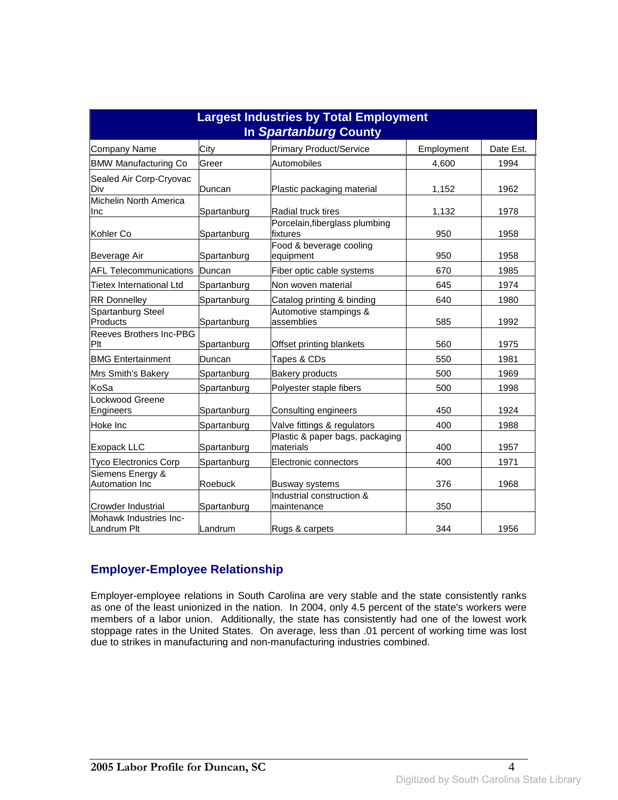| <b>Largest Industries by Total Employment</b><br>In Spartanburg County |             |                                              |            |           |
|------------------------------------------------------------------------|-------------|----------------------------------------------|------------|-----------|
| <b>Company Name</b>                                                    | City        | <b>Primary Product/Service</b>               | Employment | Date Est. |
| <b>BMW Manufacturing Co</b>                                            | Greer       | Automobiles                                  | 4,600      | 1994      |
| Sealed Air Corp-Cryovac<br>Div                                         | Duncan      | Plastic packaging material                   | 1,152      | 1962      |
| Michelin North America<br>Inc                                          | Spartanburg | Radial truck tires                           | 1,132      | 1978      |
| Kohler Co                                                              | Spartanburg | Porcelain, fiberglass plumbing<br>fixtures   | 950        | 1958      |
| Beverage Air                                                           | Spartanburg | Food & beverage cooling<br>equipment         | 950        | 1958      |
| <b>AFL Telecommunications</b>                                          | Duncan      | Fiber optic cable systems                    | 670        | 1985      |
| <b>Tietex International Ltd</b>                                        | Spartanburg | Non woven material                           | 645        | 1974      |
| <b>RR Donnelley</b>                                                    | Spartanburg | Catalog printing & binding                   | 640        | 1980      |
| Spartanburg Steel<br>Products                                          | Spartanburg | Automotive stampings &<br>assemblies         | 585        | 1992      |
| <b>Reeves Brothers Inc-PBG</b><br>Plt                                  | Spartanburg | Offset printing blankets                     | 560        | 1975      |
| <b>BMG Entertainment</b>                                               | Duncan      | Tapes & CDs                                  | 550        | 1981      |
| Mrs Smith's Bakery                                                     | Spartanburg | <b>Bakery products</b>                       | 500        | 1969      |
| KoSa                                                                   | Spartanburg | Polyester staple fibers                      | 500        | 1998      |
| Lockwood Greene<br>Engineers                                           | Spartanburg | Consulting engineers                         | 450        | 1924      |
| Hoke Inc                                                               | Spartanburg | Valve fittings & regulators                  | 400        | 1988      |
| <b>Exopack LLC</b>                                                     | Spartanburg | Plastic & paper bags, packaging<br>materials | 400        | 1957      |
| <b>Tyco Electronics Corp</b>                                           | Spartanburg | Electronic connectors                        | 400        | 1971      |
| Siemens Energy &<br><b>Automation Inc</b>                              | Roebuck     | <b>Busway systems</b>                        | 376        | 1968      |
| <b>Crowder Industrial</b>                                              | Spartanburg | Industrial construction &<br>maintenance     | 350        |           |
| Mohawk Industries Inc-<br>Landrum Plt                                  | Landrum     | Rugs & carpets                               | 344        | 1956      |

#### **Employer-Employee Relationship**

Employer-employee relations in South Carolina are very stable and the state consistently ranks as one of the least unionized in the nation. In 2004, only 4.5 percent of the state's workers were members of a labor union. Additionally, the state has consistently had one of the lowest work stoppage rates in the United States. On average, less than .01 percent of working time was lost due to strikes in manufacturing and non-manufacturing industries combined.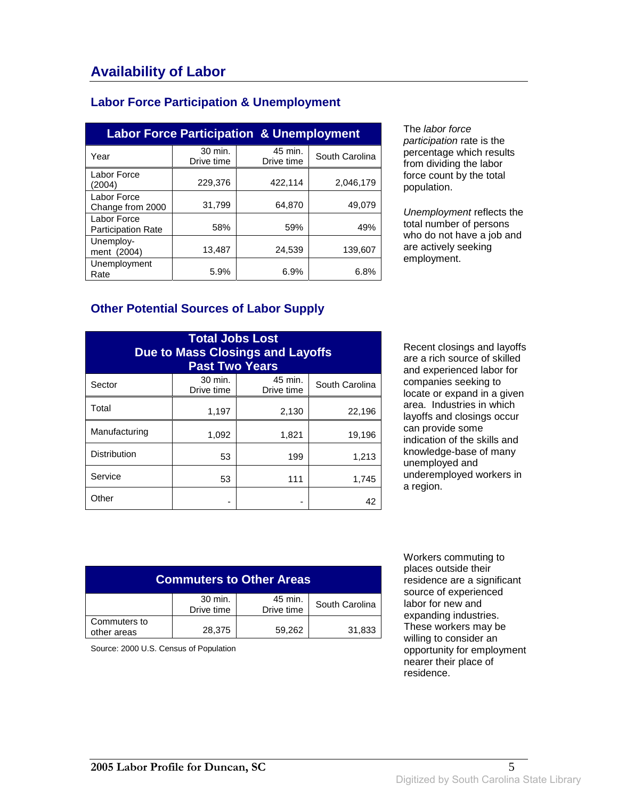### **Labor Force Participation & Unemployment**

| <b>Labor Force Participation &amp; Unemployment</b> |                       |                       |                |
|-----------------------------------------------------|-----------------------|-----------------------|----------------|
| Year                                                | 30 min.<br>Drive time | 45 min.<br>Drive time | South Carolina |
| Labor Force<br>(2004)                               | 229,376               | 422,114               | 2,046,179      |
| Labor Force<br>Change from 2000                     | 31,799                | 64,870                | 49,079         |
| Labor Force<br><b>Participation Rate</b>            | 58%                   | 59%                   | 49%            |
| Unemploy-<br>ment (2004)                            | 13,487                | 24,539                | 139.607        |
| Unemployment<br>Rate                                | 5.9%                  | 6.9%                  | 6.8%           |

The labor force participation rate is the percentage which results from dividing the labor force count by the total population.

Unemployment reflects the total number of persons who do not have a job and are actively seeking employment.

### **Other Potential Sources of Labor Supply**

| <b>Total Jobs Lost</b><br>Due to Mass Closings and Layoffs<br><b>Past Two Years</b> |                       |                       |                |
|-------------------------------------------------------------------------------------|-----------------------|-----------------------|----------------|
| Sector                                                                              | 30 min.<br>Drive time | 45 min.<br>Drive time | South Carolina |
| Total                                                                               | 1,197                 | 2,130                 | 22,196         |
| Manufacturing                                                                       | 1,092                 | 1,821                 | 19,196         |
| <b>Distribution</b>                                                                 | 53                    | 199                   | 1,213          |
| Service                                                                             | 53                    | 111                   | 1,745          |
| Other                                                                               |                       |                       | 42             |

Recent closings and layoffs are a rich source of skilled and experienced labor for companies seeking to locate or expand in a given area. Industries in which layoffs and closings occur can provide some indication of the skills and knowledge-base of many unemployed and underemployed workers in a region.

| <b>Commuters to Other Areas</b> |                       |                       |                |
|---------------------------------|-----------------------|-----------------------|----------------|
|                                 | 30 min.<br>Drive time | 45 min.<br>Drive time | South Carolina |
| Commuters to<br>other areas     | 28,375                | 59,262                | 31,833         |

Source: 2000 U.S. Census of Population

 Workers commuting to places outside their residence are a significant source of experienced labor for new and expanding industries. These workers may be willing to consider an opportunity for employment nearer their place of residence.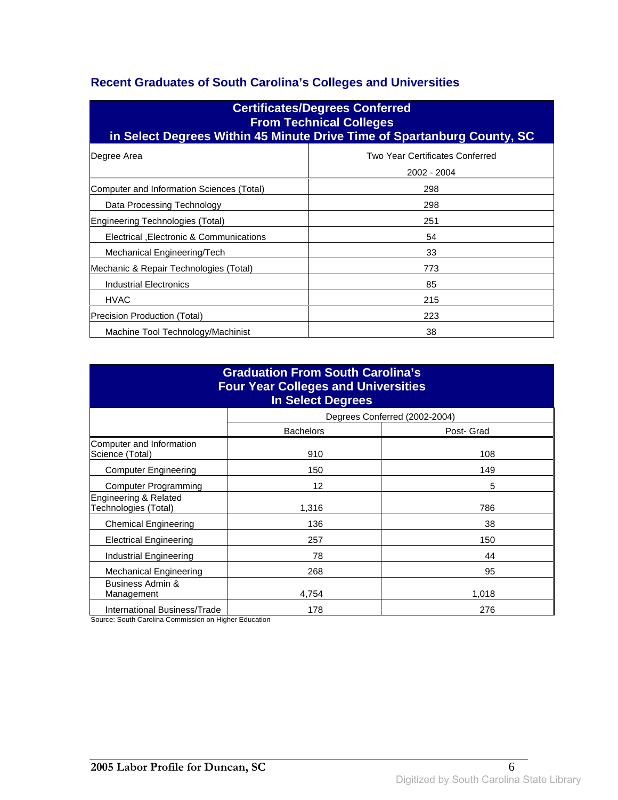### **Recent Graduates of South Carolina's Colleges and Universities**

| <b>Certificates/Degrees Conferred</b><br><b>From Technical Colleges</b><br>in Select Degrees Within 45 Minute Drive Time of Spartanburg County, SC |                                                |  |
|----------------------------------------------------------------------------------------------------------------------------------------------------|------------------------------------------------|--|
| Degree Area                                                                                                                                        | Two Year Certificates Conferred<br>2002 - 2004 |  |
| Computer and Information Sciences (Total)                                                                                                          | 298                                            |  |
| Data Processing Technology                                                                                                                         | 298                                            |  |
| Engineering Technologies (Total)                                                                                                                   | 251                                            |  |
| Electrical , Electronic & Communications                                                                                                           | 54                                             |  |
| Mechanical Engineering/Tech                                                                                                                        | 33                                             |  |
| Mechanic & Repair Technologies (Total)                                                                                                             | 773                                            |  |
| <b>Industrial Electronics</b>                                                                                                                      | 85                                             |  |
| <b>HVAC</b>                                                                                                                                        | 215                                            |  |
| Precision Production (Total)                                                                                                                       | 223                                            |  |
| Machine Tool Technology/Machinist                                                                                                                  | 38                                             |  |

| <b>Graduation From South Carolina's</b><br><b>Four Year Colleges and Universities</b><br><b>In Select Degrees</b> |                  |                               |  |
|-------------------------------------------------------------------------------------------------------------------|------------------|-------------------------------|--|
|                                                                                                                   |                  | Degrees Conferred (2002-2004) |  |
|                                                                                                                   | <b>Bachelors</b> | Post- Grad                    |  |
| Computer and Information<br>Science (Total)                                                                       | 910              | 108                           |  |
| <b>Computer Engineering</b>                                                                                       | 150              | 149                           |  |
| <b>Computer Programming</b>                                                                                       | 12               | 5                             |  |
| Engineering & Related<br>Technologies (Total)                                                                     | 1,316            | 786                           |  |
| <b>Chemical Engineering</b>                                                                                       | 136              | 38                            |  |
| <b>Electrical Engineering</b>                                                                                     | 257              | 150                           |  |
| Industrial Engineering                                                                                            | 78               | 44                            |  |
| Mechanical Engineering                                                                                            | 268              | 95                            |  |
| Business Admin &<br>Management                                                                                    | 4,754            | 1,018                         |  |
| International Business/Trade                                                                                      | 178              | 276                           |  |

Source: South Carolina Commission on Higher Education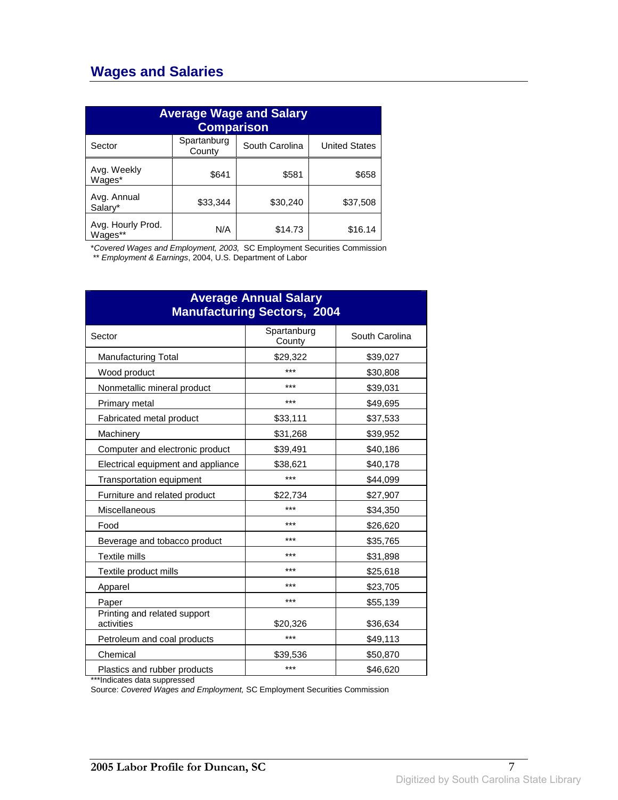## **Wages and Salaries**

| <b>Average Wage and Salary</b><br><b>Comparison</b> |                       |                |                      |
|-----------------------------------------------------|-----------------------|----------------|----------------------|
| Sector                                              | Spartanburg<br>County | South Carolina | <b>United States</b> |
| Avg. Weekly<br>Wages*                               | \$641                 | \$581          | \$658                |
| Avg. Annual<br>Salary*                              | \$33,344              | \$30,240       | \$37,508             |
| Avg. Hourly Prod.<br>Wages**                        | N/A                   | \$14.73        | \$16.14              |

\*Covered Wages and Employment, 2003, SC Employment Securities Commission

\*\* Employment & Earnings, 2004, U.S. Department of Labor

| <b>Average Annual Salary</b><br><b>Manufacturing Sectors, 2004</b> |                       |                |  |
|--------------------------------------------------------------------|-----------------------|----------------|--|
| Sector                                                             | Spartanburg<br>County | South Carolina |  |
| <b>Manufacturing Total</b>                                         | \$29,322              | \$39,027       |  |
| Wood product                                                       | ***                   | \$30,808       |  |
| Nonmetallic mineral product                                        | ***                   | \$39,031       |  |
| Primary metal                                                      | ***                   | \$49,695       |  |
| Fabricated metal product                                           | \$33,111              | \$37,533       |  |
| Machinery                                                          | \$31,268              | \$39,952       |  |
| Computer and electronic product                                    | \$39,491              | \$40,186       |  |
| Electrical equipment and appliance                                 | \$38,621              | \$40,178       |  |
| Transportation equipment                                           | $***$                 | \$44,099       |  |
| Furniture and related product                                      | \$22,734              | \$27,907       |  |
| Miscellaneous                                                      | ***                   | \$34,350       |  |
| Food                                                               | ***                   | \$26,620       |  |
| Beverage and tobacco product                                       | ***                   | \$35,765       |  |
| Textile mills                                                      | ***                   | \$31,898       |  |
| Textile product mills                                              | ***                   | \$25,618       |  |
| Apparel                                                            | ***                   | \$23,705       |  |
| Paper                                                              | ***                   | \$55,139       |  |
| Printing and related support<br>activities                         | \$20,326              | \$36,634       |  |
| Petroleum and coal products                                        | $***$                 | \$49,113       |  |
| Chemical                                                           | \$39,536              | \$50,870       |  |
| Plastics and rubber products                                       | ***                   | \$46,620       |  |

\*\*\*Indicates data suppressed

Source: Covered Wages and Employment, SC Employment Securities Commission